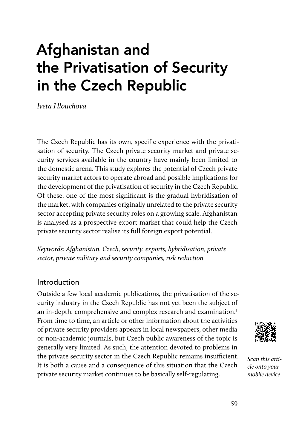# Afghanistan and the Privatisation of Security in the Czech Republic

Iveta Hlouchova

The Czech Republic has its own, specific experience with the privatisation of security. The Czech private security market and private security services available in the country have mainly been limited to the domestic arena. This study explores the potential of Czech private security market actors to operate abroad and possible implications for the development of the privatisation of security in the Czech Republic. Of these, one of the most significant is the gradual hybridisation of the market, with companies originally unrelated to the private security sector accepting private security roles on a growing scale. Afghanistan is analysed as a prospective export market that could help the Czech private security sector realise its full foreign export potential.

Keywords: Afghanistan, Czech, security, exports, hybridisation, private sector, private military and security companies, risk reduction

#### Introduction

Outside a few local academic publications, the privatisation of the security industry in the Czech Republic has not yet been the subject of an in-depth, comprehensive and complex research and examination.<sup>1</sup> From time to time, an article or other information about the activities of private security providers appears in local newspapers, other media or non-academic journals, but Czech public awareness of the topic is generally very limited. As such, the attention devoted to problems in the private security sector in the Czech Republic remains insufficient. It is both a cause and a consequence of this situation that the Czech private security market continues to be basically self-regulating.



Scan this article onto your mobile device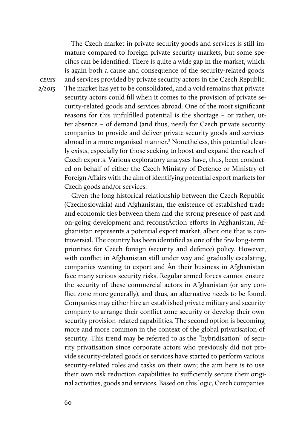The Czech market in private security goods and services is still immature compared to foreign private security markets, but some specifics can be identified. There is quite a wide gap in the market, which is again both a cause and consequence of the security-related goods and services provided by private security actors in the Czech Republic. The market has yet to be consolidated, and a void remains that private security actors could fill when it comes to the provision of private security-related goods and services abroad. One of the most significant reasons for this unfulfilled potential is the shortage – or rather, utter absence – of demand (and thus, need) for Czech private security companies to provide and deliver private security goods and services abroad in a more organised manner.<sup>2</sup> Nonetheless, this potential clearly exists, especially for those seeking to boost and expand the reach of Czech exports. Various exploratory analyses have, thus, been conducted on behalf of either the Czech Ministry of Defence or Ministry of Foreign Affairs with the aim of identifying potential export markets for Czech goods and/or services.

Given the long historical relationship between the Czech Republic (Czechoslovakia) and Afghanistan, the existence of established trade and economic ties between them and the strong presence of past and on-going development and reconstÂction efforts in Afghanistan, Afghanistan represents a potential export market, albeit one that is controversial. The country has been identified as one of the few long-term priorities for Czech foreign (security and defence) policy. However, with conflict in Afghanistan still under way and gradually escalating, companies wanting to export and Ân their business in Afghanistan face many serious security risks. Regular armed forces cannot ensure the security of these commercial actors in Afghanistan (or any conflict zone more generally), and thus, an alternative needs to be found. Companies may either hire an established private military and security company to arrange their conflict zone security or develop their own security provision-related capabilities. The second option is becoming more and more common in the context of the global privatisation of security. This trend may be referred to as the "hybridisation" of security privatisation since corporate actors who previously did not provide security-related goods or services have started to perform various security-related roles and tasks on their own; the aim here is to use their own risk reduction capabilities to sufficiently secure their original activities, goods and services. Based on this logic, Czech companies

**CEJISS** 2/2015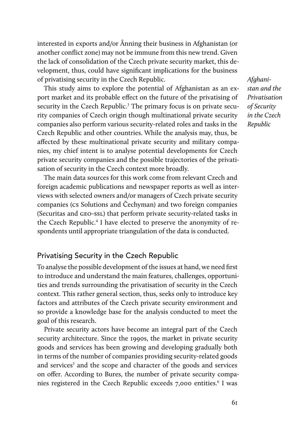interested in exports and/or Ânning their business in Afghanistan (or another conflict zone) may not be immune from this new trend. Given the lack of consolidation of the Czech private security market, this development, thus, could have significant implications for the business of privatising security in the Czech Republic.

This study aims to explore the potential of Afghanistan as an export market and its probable effect on the future of the privatising of security in the Czech Republic.<sup>3</sup> The primary focus is on private security companies of Czech origin though multinational private security companies also perform various security-related roles and tasks in the Czech Republic and other countries. While the analysis may, thus, be affected by these multinational private security and military companies, my chief intent is to analyse potential developments for Czech private security companies and the possible trajectories of the privatisation of security in the Czech context more broadly.

The main data sources for this work come from relevant Czech and foreign academic publications and newspaper reports as well as interviews with selected owners and/or managers of Czech private security companies (cs Solutions and Čechyman) and two foreign companies (Securitas and geo-ssl) that perform private security-related tasks in the Czech Republic.<sup>4</sup> I have elected to preserve the anonymity of respondents until appropriate triangulation of the data is conducted.

# Privatising Security in the Czech Republic

To analyse the possible development of the issues at hand, we need first to introduce and understand the main features, challenges, opportunities and trends surrounding the privatisation of security in the Czech context. This rather general section, thus, seeks only to introduce key factors and attributes of the Czech private security environment and so provide a knowledge base for the analysis conducted to meet the goal of this research.

Private security actors have become an integral part of the Czech security architecture. Since the 1990s, the market in private security goods and services has been growing and developing gradually both in terms of the number of companies providing security-related goods and services<sup>5</sup> and the scope and character of the goods and services on offer. According to Bures, the number of private security companies registered in the Czech Republic exceeds 7,000 entities.<sup>6</sup> l was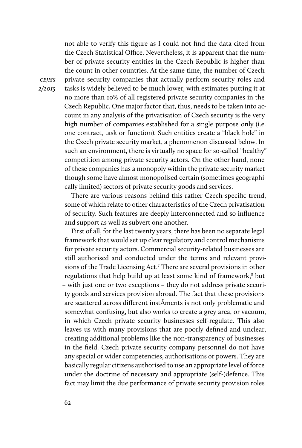not able to verify this figure as I could not find the data cited from the Czech Statistical Office. Nevertheless, it is apparent that the number of private security entities in the Czech Republic is higher than the count in other countries. At the same time, the number of Czech private security companies that actually perform security roles and tasks is widely believed to be much lower, with estimates putting it at no more than 10% of all registered private security companies in the Czech Republic. One major factor that, thus, needs to be taken into account in any analysis of the privatisation of Czech security is the very high number of companies established for a single purpose only (i.e. one contract, task or function). Such entities create a "black hole" in the Czech private security market, a phenomenon discussed below. In such an environment, there is virtually no space for so-called "healthy" competition among private security actors. On the other hand, none of these companies has a monopoly within the private security market though some have almost monopolised certain (sometimes geographically limited) sectors of private security goods and services.

There are various reasons behind this rather Czech-specific trend, some of which relate to other characteristics of the Czech privatisation of security. Such features are deeply interconnected and so influence and support as well as subvert one another.

First of all, for the last twenty years, there has been no separate legal framework that would set up clear regulatory and control mechanisms for private security actors. Commercial security-related businesses are still authorised and conducted under the terms and relevant provisions of the Trade Licensing Act.<sup>7</sup> There are several provisions in other regulations that help build up at least some kind of framework,<sup>8</sup> but – with just one or two exceptions – they do not address private security goods and services provision abroad. The fact that these provisions are scattered across different instÂments is not only problematic and somewhat confusing, but also works to create a grey area, or vacuum, in which Czech private security businesses self-regulate. This also leaves us with many provisions that are poorly defined and unclear, creating additional problems like the non-transparency of businesses in the field. Czech private security company personnel do not have any special or wider competencies, authorisations or powers. They are basically regular citizens authorised to use an appropriate level of force under the doctrine of necessary and appropriate (self-)defence. This fact may limit the due performance of private security provision roles

**CEJISS** 2/2015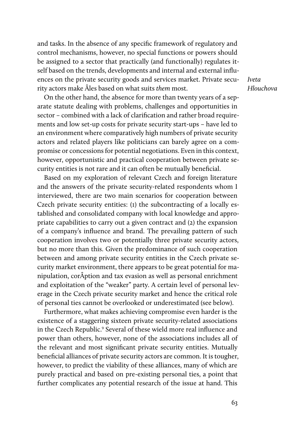and tasks. In the absence of any specific framework of regulatory and control mechanisms, however, no special functions or powers should be assigned to a sector that practically (and functionally) regulates itself based on the trends, developments and internal and external influences on the private security goods and services market. Private security actors make Âles based on what suits them most.

Iveta Hlouchova

On the other hand, the absence for more than twenty years of a separate statute dealing with problems, challenges and opportunities in sector – combined with a lack of clarification and rather broad requirements and low set-up costs for private security start-ups – have led to an environment where comparatively high numbers of private security actors and related players like politicians can barely agree on a compromise or concessions for potential negotiations. Even in this context, however, opportunistic and practical cooperation between private security entities is not rare and it can often be mutually beneficial.

Based on my exploration of relevant Czech and foreign literature and the answers of the private security-related respondents whom I interviewed, there are two main scenarios for cooperation between Czech private security entities: (1) the subcontracting of a locally established and consolidated company with local knowledge and appropriate capabilities to carry out a given contract and (2) the expansion of a company's influence and brand. The prevailing pattern of such cooperation involves two or potentially three private security actors, but no more than this. Given the predominance of such cooperation between and among private security entities in the Czech private security market environment, there appears to be great potential for manipulation, corÂption and tax evasion as well as personal enrichment and exploitation of the "weaker" party. A certain level of personal leverage in the Czech private security market and hence the critical role of personal ties cannot be overlooked or underestimated (see below).

Furthermore, what makes achieving compromise even harder is the existence of a staggering sixteen private security-related associations in the Czech Republic.<sup>9</sup> Several of these wield more real influence and power than others, however, none of the associations includes all of the relevant and most significant private security entities. Mutually beneficial alliances of private security actors are common. It is tougher, however, to predict the viability of these alliances, many of which are purely practical and based on pre-existing personal ties, a point that further complicates any potential research of the issue at hand. This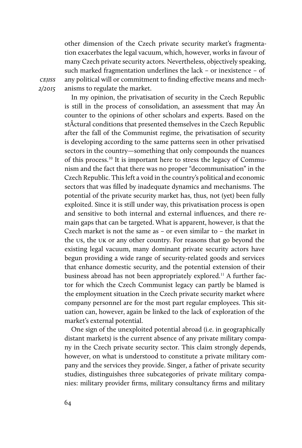other dimension of the Czech private security market's fragmentation exacerbates the legal vacuum, which, however, works in favour of many Czech private security actors. Nevertheless, objectively speaking, such marked fragmentation underlines the lack – or inexistence – of any political will or commitment to finding effective means and mechanisms to regulate the market.

In my opinion, the privatisation of security in the Czech Republic is still in the process of consolidation, an assessment that may Ân counter to the opinions of other scholars and experts. Based on the stÂctural conditions that presented themselves in the Czech Republic after the fall of the Communist regime, the privatisation of security is developing according to the same patterns seen in other privatised sectors in the country—something that only compounds the nuances of this process.10 It is important here to stress the legacy of Communism and the fact that there was no proper "decommunisation" in the Czech Republic. This left a void in the country's political and economic sectors that was filled by inadequate dynamics and mechanisms. The potential of the private security market has, thus, not (yet) been fully exploited. Since it is still under way, this privatisation process is open and sensitive to both internal and external influences, and there remain gaps that can be targeted. What is apparent, however, is that the Czech market is not the same as – or even similar to – the market in the us, the uk or any other country. For reasons that go beyond the existing legal vacuum, many dominant private security actors have begun providing a wide range of security-related goods and services that enhance domestic security, and the potential extension of their business abroad has not been appropriately explored.<sup>11</sup> A further factor for which the Czech Communist legacy can partly be blamed is the employment situation in the Czech private security market where company personnel are for the most part regular employees. This situation can, however, again be linked to the lack of exploration of the market's external potential.

One sign of the unexploited potential abroad (i.e. in geographically distant markets) is the current absence of any private military company in the Czech private security sector. This claim strongly depends, however, on what is understood to constitute a private military company and the services they provide. Singer, a father of private security studies, distinguishes three subcategories of private military companies: military provider firms, military consultancy firms and military

cejiss 2/2015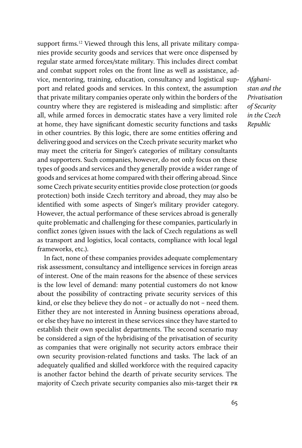support firms.<sup>12</sup> Viewed through this lens, all private military companies provide security goods and services that were once dispensed by regular state armed forces/state military. This includes direct combat and combat support roles on the front line as well as assistance, advice, mentoring, training, education, consultancy and logistical support and related goods and services. In this context, the assumption that private military companies operate only within the borders of the country where they are registered is misleading and simplistic: after all, while armed forces in democratic states have a very limited role at home, they have significant domestic security functions and tasks in other countries. By this logic, there are some entities offering and delivering good and services on the Czech private security market who may meet the criteria for Singer's categories of military consultants and supporters. Such companies, however, do not only focus on these types of goods and services and they generally provide a wider range of goods and services at home compared with their offering abroad. Since some Czech private security entities provide close protection (or goods protection) both inside Czech territory and abroad, they may also be identified with some aspects of Singer's military provider category. However, the actual performance of these services abroad is generally quite problematic and challenging for these companies, particularly in conflict zones (given issues with the lack of Czech regulations as well as transport and logistics, local contacts, compliance with local legal frameworks, etc.).

In fact, none of these companies provides adequate complementary risk assessment, consultancy and intelligence services in foreign areas of interest. One of the main reasons for the absence of these services is the low level of demand: many potential customers do not know about the possibility of contracting private security services of this kind, or else they believe they do not – or actually do not – need them. Either they are not interested in Ânning business operations abroad, or else they have no interest in these services since they have started to establish their own specialist departments. The second scenario may be considered a sign of the hybridising of the privatisation of security as companies that were originally not security actors embrace their own security provision-related functions and tasks. The lack of an adequately qualified and skilled workforce with the required capacity is another factor behind the dearth of private security services. The majority of Czech private security companies also mis-target their pr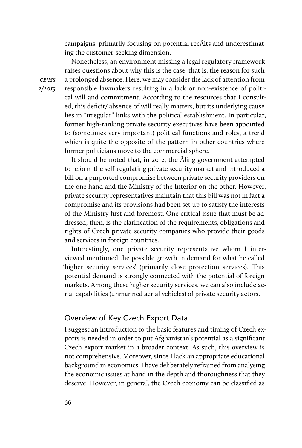campaigns, primarily focusing on potential recÂits and underestimating the customer-seeking dimension.

Nonetheless, an environment missing a legal regulatory framework raises questions about why this is the case, that is, the reason for such a prolonged absence. Here, we may consider the lack of attention from responsible lawmakers resulting in a lack or non-existence of political will and commitment. According to the resources that I consulted, this deficit/ absence of will really matters, but its underlying cause lies in "irregular" links with the political establishment. In particular, former high-ranking private security executives have been appointed to (sometimes very important) political functions and roles, a trend which is quite the opposite of the pattern in other countries where former politicians move to the commercial sphere.

It should be noted that, in 2012, the Âling government attempted to reform the self-regulating private security market and introduced a bill on a purported compromise between private security providers on the one hand and the Ministry of the Interior on the other. However, private security representatives maintain that this bill was not in fact a compromise and its provisions had been set up to satisfy the interests of the Ministry first and foremost. One critical issue that must be addressed, then, is the clarification of the requirements, obligations and rights of Czech private security companies who provide their goods and services in foreign countries.

Interestingly, one private security representative whom I interviewed mentioned the possible growth in demand for what he called 'higher security services' (primarily close protection services). This potential demand is strongly connected with the potential of foreign markets. Among these higher security services, we can also include aerial capabilities (unmanned aerial vehicles) of private security actors.

# Overview of Key Czech Export Data

I suggest an introduction to the basic features and timing of Czech exports is needed in order to put Afghanistan's potential as a significant Czech export market in a broader context. As such, this overview is not comprehensive. Moreover, since I lack an appropriate educational background in economics, I have deliberately refrained from analysing the economic issues at hand in the depth and thoroughness that they deserve. However, in general, the Czech economy can be classified as

cejiss 2/2015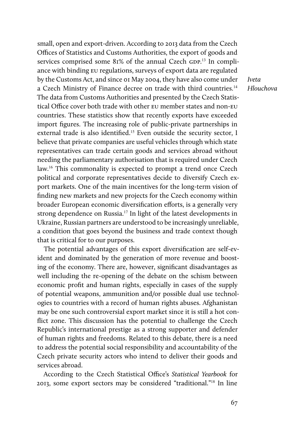small, open and export-driven. According to 2013 data from the Czech Offices of Statistics and Customs Authorities, the export of goods and services comprised some 81% of the annual Czech GDP.<sup>13</sup> In compliance with binding eu regulations, surveys of export data are regulated by the Customs Act, and since 01 May 2004, they have also come under a Czech Ministry of Finance decree on trade with third countries.<sup>14</sup> The data from Customs Authorities and presented by the Czech Statistical Office cover both trade with other EU member states and non-EU countries. These statistics show that recently exports have exceeded import figures. The increasing role of public-private partnerships in external trade is also identified.<sup>15</sup> Even outside the security sector, I believe that private companies are useful vehicles through which state representatives can trade certain goods and services abroad without needing the parliamentary authorisation that is required under Czech law.<sup>16</sup> This commonality is expected to prompt a trend once Czech political and corporate representatives decide to diversify Czech export markets. One of the main incentives for the long-term vision of finding new markets and new projects for the Czech economy within broader European economic diversification efforts, is a generally very strong dependence on Russia.<sup>17</sup> In light of the latest developments in Ukraine, Russian partners are understood to be increasingly unreliable, a condition that goes beyond the business and trade context though that is critical for to our purposes.

The potential advantages of this export diversification are self-evident and dominated by the generation of more revenue and boosting of the economy. There are, however, significant disadvantages as well including the re-opening of the debate on the schism between economic profit and human rights, especially in cases of the supply of potential weapons, ammunition and/or possible dual use technologies to countries with a record of human rights abuses. Afghanistan may be one such controversial export market since it is still a hot conflict zone. This discussion has the potential to challenge the Czech Republic's international prestige as a strong supporter and defender of human rights and freedoms. Related to this debate, there is a need to address the potential social responsibility and accountability of the Czech private security actors who intend to deliver their goods and services abroad.

According to the Czech Statistical Office's Statistical Yearbook for 2013, some export sectors may be considered "traditional."18 In line

Iveta Hlouchova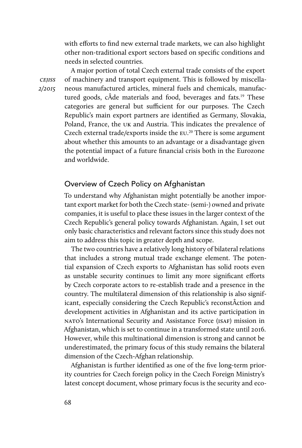with efforts to find new external trade markets, we can also highlight other non-traditional export sectors based on specific conditions and needs in selected countries.

A major portion of total Czech external trade consists of the export of machinery and transport equipment. This is followed by miscellaneous manufactured articles, mineral fuels and chemicals, manufactured goods, cÂde materials and food, beverages and fats.<sup>19</sup> These categories are general but sufficient for our purposes. The Czech Republic's main export partners are identified as Germany, Slovakia, Poland, France, the uk and Austria. This indicates the prevalence of Czech external trade/exports inside the eu. <sup>20</sup> There is some argument about whether this amounts to an advantage or a disadvantage given the potential impact of a future financial crisis both in the Eurozone and worldwide.

## Overview of Czech Policy on Afghanistan

To understand why Afghanistan might potentially be another important export market for both the Czech state- (semi-) owned and private companies, it is useful to place these issues in the larger context of the Czech Republic's general policy towards Afghanistan. Again, I set out only basic characteristics and relevant factors since this study does not aim to address this topic in greater depth and scope.

The two countries have a relatively long history of bilateral relations that includes a strong mutual trade exchange element. The potential expansion of Czech exports to Afghanistan has solid roots even as unstable security continues to limit any more significant efforts by Czech corporate actors to re-establish trade and a presence in the country. The multilateral dimension of this relationship is also significant, especially considering the Czech Republic's reconstÂction and development activities in Afghanistan and its active participation in nato's International Security and Assistance Force (isaf) mission in Afghanistan, which is set to continue in a transformed state until 2016. However, while this multinational dimension is strong and cannot be underestimated, the primary focus of this study remains the bilateral dimension of the Czech-Afghan relationship.

Afghanistan is further identified as one of the five long-term priority countries for Czech foreign policy in the Czech Foreign Ministry's latest concept document, whose primary focus is the security and eco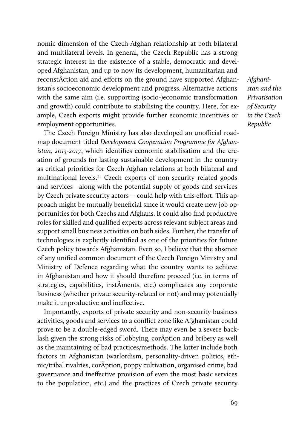nomic dimension of the Czech-Afghan relationship at both bilateral and multilateral levels. In general, the Czech Republic has a strong strategic interest in the existence of a stable, democratic and developed Afghanistan, and up to now its development, humanitarian and reconstÂction aid and efforts on the ground have supported Afghanistan's socioeconomic development and progress. Alternative actions with the same aim (i.e. supporting (socio-)economic transformation and growth) could contribute to stabilising the country. Here, for example, Czech exports might provide further economic incentives or employment opportunities.

The Czech Foreign Ministry has also developed an unofficial roadmap document titled Development Cooperation Programme for Afghanistan, 2013-2017, which identifies economic stabilisation and the creation of grounds for lasting sustainable development in the country as critical priorities for Czech-Afghan relations at both bilateral and multinational levels.<sup>21</sup> Czech exports of non-security related goods and services—along with the potential supply of goods and services by Czech private security actors— could help with this effort. This approach might be mutually beneficial since it would create new job opportunities for both Czechs and Afghans. It could also find productive roles for skilled and qualified experts across relevant subject areas and support small business activities on both sides. Further, the transfer of technologies is explicitly identified as one of the priorities for future Czech policy towards Afghanistan. Even so, I believe that the absence of any unified common document of the Czech Foreign Ministry and Ministry of Defence regarding what the country wants to achieve in Afghanistan and how it should therefore proceed (i.e. in terms of strategies, capabilities, instÂments, etc.) complicates any corporate business (whether private security-related or not) and may potentially make it unproductive and ineffective.

Importantly, exports of private security and non-security business activities, goods and services to a conflict zone like Afghanistan could prove to be a double-edged sword. There may even be a severe backlash given the strong risks of lobbying, corÂption and bribery as well as the maintaining of bad practices/methods. The latter include both factors in Afghanistan (warlordism, personality-driven politics, ethnic/tribal rivalries, corÂption, poppy cultivation, organised crime, bad governance and ineffective provision of even the most basic services to the population, etc.) and the practices of Czech private security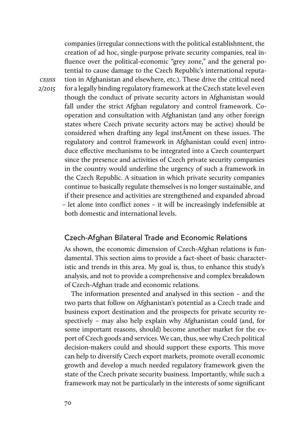companies (irregular connections with the political establishment, the creation of ad hoc, single-purpose private security companies, real influence over the political-economic "grey zone," and the general potential to cause damage to the Czech Republic's international reputation in Afghanistan and elsewhere, etc.). These drive the critical need for a legally binding regulatory framework at the Czech state level even though the conduct of private security actors in Afghanistan would fall under the strict Afghan regulatory and control framework. Cooperation and consultation with Afghanistan (and any other foreign states where Czech private security actors may be active) should be considered when drafting any legal instÂment on these issues. The regulatory and control framework in Afghanistan could even| introduce effective mechanisms to be integrated into a Czech counterpart since the presence and activities of Czech private security companies in the country would underline the urgency of such a framework in the Czech Republic. A situation in which private security companies continue to basically regulate themselves is no longer sustainable, and if their presence and activities are strengthened and expanded abroad – let alone into conflict zones – it will be increasingly indefensible at both domestic and international levels.

# Czech-Afghan Bilateral Trade and Economic Relations

As shown, the economic dimension of Czech-Afghan relations is fundamental. This section aims to provide a fact-sheet of basic characteristic and trends in this area. My goal is, thus, to enhance this study's analysis, and not to provide a comprehensive and complex breakdown of Czech-Afghan trade and economic relations.

The information presented and analysed in this section – and the two parts that follow on Afghanistan's potential as a Czech trade and business export destination and the prospects for private security respectively – may also help explain why Afghanistan could (and, for some important reasons, should) become another market for the export of Czech goods and services. We can, thus, see why Czech political decision-makers could and should support these exports. This move can help to diversify Czech export markets, promote overall economic growth and develop a much needed regulatory framework given the state of the Czech private security business. Importantly, while such a framework may not be particularly in the interests of some significant

**CEJISS** 2/2015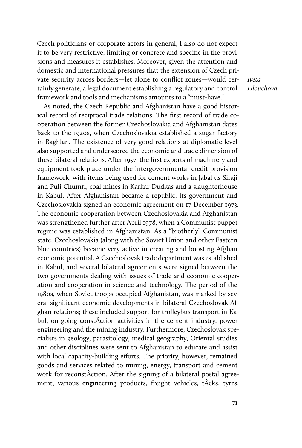Czech politicians or corporate actors in general, I also do not expect it to be very restrictive, limiting or concrete and specific in the provisions and measures it establishes. Moreover, given the attention and domestic and international pressures that the extension of Czech private security across borders—let alone to conflict zones—would certainly generate, a legal document establishing a regulatory and control framework and tools and mechanisms amounts to a "must-have."

As noted, the Czech Republic and Afghanistan have a good historical record of reciprocal trade relations. The first record of trade cooperation between the former Czechoslovakia and Afghanistan dates back to the 1920s, when Czechoslovakia established a sugar factory in Baghlan. The existence of very good relations at diplomatic level also supported and underscored the economic and trade dimension of these bilateral relations. After 1957, the first exports of machinery and equipment took place under the intergovernmental credit provision framework, with items being used for cement works in Jabal us-Siraji and Puli Chumri, coal mines in Karkar-Dudkas and a slaughterhouse in Kabul. After Afghanistan became a republic, its government and Czechoslovakia signed an economic agreement on 17 December 1973. The economic cooperation between Czechoslovakia and Afghanistan was strengthened further after April 1978, when a Communist puppet regime was established in Afghanistan. As a "brotherly" Communist state, Czechoslovakia (along with the Soviet Union and other Eastern bloc countries) became very active in creating and boosting Afghan economic potential. A Czechoslovak trade department was established in Kabul, and several bilateral agreements were signed between the two governments dealing with issues of trade and economic cooperation and cooperation in science and technology. The period of the 1980s, when Soviet troops occupied Afghanistan, was marked by several significant economic developments in bilateral Czechoslovak-Afghan relations; these included support for trolleybus transport in Kabul, on-going constÂction activities in the cement industry, power engineering and the mining industry. Furthermore, Czechoslovak specialists in geology, parasitology, medical geography, Oriental studies and other disciplines were sent to Afghanistan to educate and assist with local capacity-building efforts. The priority, however, remained goods and services related to mining, energy, transport and cement work for reconstÂction. After the signing of a bilateral postal agreement, various engineering products, freight vehicles, tÂcks, tyres, Iveta Hlouchova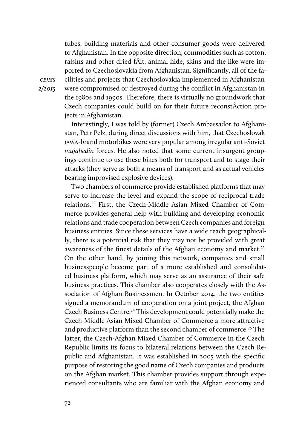tubes, building materials and other consumer goods were delivered to Afghanistan. In the opposite direction, commodities such as cotton, raisins and other dried fÂit, animal hide, skins and the like were imported to Czechoslovakia from Afghanistan. Significantly, all of the facilities and projects that Czechoslovakia implemented in Afghanistan were compromised or destroyed during the conflict in Afghanistan in the 1980s and 1990s. Therefore, there is virtually no groundwork that Czech companies could build on for their future reconstÂction projects in Afghanistan.

Interestingly, I was told by (former) Czech Ambassador to Afghanistan, Petr Pelz, during direct discussions with him, that Czechoslovak jawa-brand motorbikes were very popular among irregular anti-Soviet mujahedin forces. He also noted that some current insurgent groupings continue to use these bikes both for transport and to stage their attacks (they serve as both a means of transport and as actual vehicles bearing improvised explosive devices).

Two chambers of commerce provide established platforms that may serve to increase the level and expand the scope of reciprocal trade relations.22 First, the Czech-Middle Asian Mixed Chamber of Commerce provides general help with building and developing economic relations and trade cooperation between Czech companies and foreign business entities. Since these services have a wide reach geographically, there is a potential risk that they may not be provided with great awareness of the finest details of the Afghan economy and market.<sup>23</sup> On the other hand, by joining this network, companies and small businesspeople become part of a more established and consolidated business platform, which may serve as an assurance of their safe business practices. This chamber also cooperates closely with the Association of Afghan Businessmen. In October 2014, the two entities signed a memorandum of cooperation on a joint project, the Afghan Czech Business Centre.<sup>24</sup> This development could potentially make the Czech-Middle Asian Mixed Chamber of Commerce a more attractive and productive platform than the second chamber of commerce.<sup>25</sup> The latter, the Czech-Afghan Mixed Chamber of Commerce in the Czech Republic limits its focus to bilateral relations between the Czech Republic and Afghanistan. It was established in 2005 with the specific purpose of restoring the good name of Czech companies and products on the Afghan market. This chamber provides support through experienced consultants who are familiar with the Afghan economy and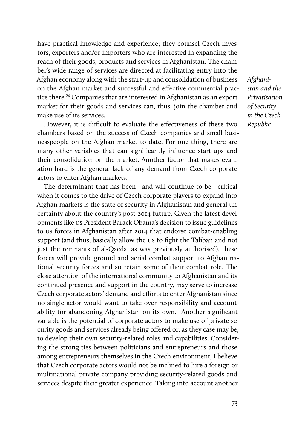have practical knowledge and experience; they counsel Czech investors, exporters and/or importers who are interested in expanding the reach of their goods, products and services in Afghanistan. The chamber's wide range of services are directed at facilitating entry into the Afghan economy along with the start-up and consolidation of business on the Afghan market and successful and effective commercial practice there.<sup>26</sup> Companies that are interested in Afghanistan as an export market for their goods and services can, thus, join the chamber and make use of its services.

However, it is difficult to evaluate the effectiveness of these two chambers based on the success of Czech companies and small businesspeople on the Afghan market to date. For one thing, there are many other variables that can significantly influence start-ups and their consolidation on the market. Another factor that makes evaluation hard is the general lack of any demand from Czech corporate actors to enter Afghan markets.

The determinant that has been—and will continue to be—critical when it comes to the drive of Czech corporate players to expand into Afghan markets is the state of security in Afghanistan and general uncertainty about the country's post-2014 future. Given the latest developments like us President Barack Obama's decision to issue guidelines to us forces in Afghanistan after 2014 that endorse combat-enabling support (and thus, basically allow the us to fight the Taliban and not just the remnants of al-Qaeda, as was previously authorised), these forces will provide ground and aerial combat support to Afghan national security forces and so retain some of their combat role. The close attention of the international community to Afghanistan and its continued presence and support in the country, may serve to increase Czech corporate actors' demand and efforts to enter Afghanistan since no single actor would want to take over responsibility and accountability for abandoning Afghanistan on its own. Another significant variable is the potential of corporate actors to make use of private security goods and services already being offered or, as they case may be, to develop their own security-related roles and capabilities. Considering the strong ties between politicians and entrepreneurs and those among entrepreneurs themselves in the Czech environment, I believe that Czech corporate actors would not be inclined to hire a foreign or multinational private company providing security-related goods and services despite their greater experience. Taking into account another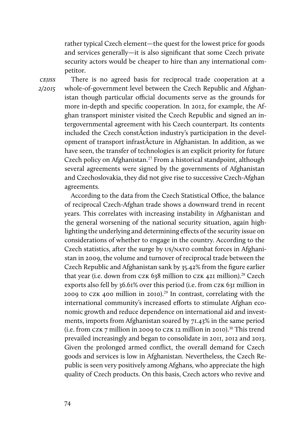rather typical Czech element—the quest for the lowest price for goods and services generally—it is also significant that some Czech private security actors would be cheaper to hire than any international competitor.

**CEJISS** 2/2015

There is no agreed basis for reciprocal trade cooperation at a whole-of-government level between the Czech Republic and Afghanistan though particular official documents serve as the grounds for more in-depth and specific cooperation. In 2012, for example, the Afghan transport minister visited the Czech Republic and signed an intergovernmental agreement with his Czech counterpart. Its contents included the Czech constÂction industry's participation in the development of transport infrastÂcture in Afghanistan. In addition, as we have seen, the transfer of technologies is an explicit priority for future Czech policy on Afghanistan.<sup>27</sup> From a historical standpoint, although several agreements were signed by the governments of Afghanistan and Czechoslovakia, they did not give rise to successive Czech-Afghan agreements.

According to the data from the Czech Statistical Office, the balance of reciprocal Czech-Afghan trade shows a downward trend in recent years. This correlates with increasing instability in Afghanistan and the general worsening of the national security situation, again highlighting the underlying and determining effects of the security issue on considerations of whether to engage in the country. According to the Czech statistics, after the surge by US/NATO combat forces in Afghanistan in 2009, the volume and turnover of reciprocal trade between the Czech Republic and Afghanistan sank by 35.42% from the figure earlier that year (i.e. down from CZK 638 million to CZK 421 million).<sup>28</sup> Czech exports also fell by 36.61% over this period (i.e. from czk 631 million in 2009 to CZK 400 million in 2010).<sup>29</sup> In contrast, correlating with the international community's increased efforts to stimulate Afghan economic growth and reduce dependence on international aid and investments, imports from Afghanistan soared by 71.43% in the same period (i.e. from CZK 7 million in 2009 to CZK 12 million in 2010).<sup>30</sup> This trend prevailed increasingly and began to consolidate in 2011, 2012 and 2013. Given the prolonged armed conflict, the overall demand for Czech goods and services is low in Afghanistan. Nevertheless, the Czech Republic is seen very positively among Afghans, who appreciate the high quality of Czech products. On this basis, Czech actors who revive and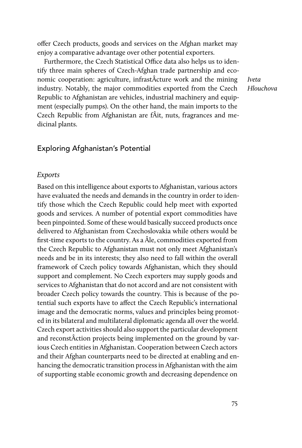offer Czech products, goods and services on the Afghan market may enjoy a comparative advantage over other potential exporters.

Furthermore, the Czech Statistical Office data also helps us to identify three main spheres of Czech-Afghan trade partnership and economic cooperation: agriculture, infrastÂcture work and the mining industry. Notably, the major commodities exported from the Czech Republic to Afghanistan are vehicles, industrial machinery and equipment (especially pumps). On the other hand, the main imports to the Czech Republic from Afghanistan are fÂit, nuts, fragrances and medicinal plants.

Iveta Hlouchova

# Exploring Afghanistan's Potential

#### Exports

Based on this intelligence about exports to Afghanistan, various actors have evaluated the needs and demands in the country in order to identify those which the Czech Republic could help meet with exported goods and services. A number of potential export commodities have been pinpointed. Some of these would basically succeed products once delivered to Afghanistan from Czechoslovakia while others would be first-time exports to the country. As a Âle, commodities exported from the Czech Republic to Afghanistan must not only meet Afghanistan's needs and be in its interests; they also need to fall within the overall framework of Czech policy towards Afghanistan, which they should support and complement. No Czech exporters may supply goods and services to Afghanistan that do not accord and are not consistent with broader Czech policy towards the country. This is because of the potential such exports have to affect the Czech Republic's international image and the democratic norms, values and principles being promoted in its bilateral and multilateral diplomatic agenda all over the world. Czech export activities should also support the particular development and reconstÂction projects being implemented on the ground by various Czech entities in Afghanistan. Cooperation between Czech actors and their Afghan counterparts need to be directed at enabling and enhancing the democratic transition process in Afghanistan with the aim of supporting stable economic growth and decreasing dependence on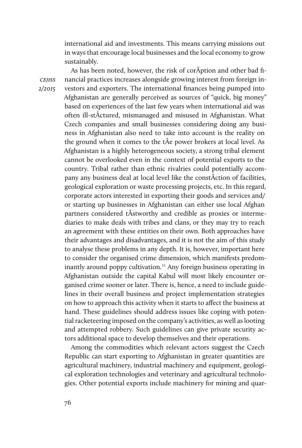international aid and investments. This means carrying missions out in ways that encourage local businesses and the local economy to grow sustainably.

As has been noted, however, the risk of corÂption and other bad financial practices increases alongside growing interest from foreign investors and exporters. The international finances being pumped into Afghanistan are generally perceived as sources of "quick, big money" based on experiences of the last few years when international aid was often ill-stÂctured, mismanaged and misused in Afghanistan. What Czech companies and small businesses considering doing any business in Afghanistan also need to take into account is the reality on the ground when it comes to the tÂe power brokers at local level. As Afghanistan is a highly heterogeneous society, a strong tribal element cannot be overlooked even in the context of potential exports to the country. Tribal rather than ethnic rivalries could potentially accompany any business deal at local level like the constÂction of facilities, geological exploration or waste processing projects, etc. In this regard, corporate actors interested in exporting their goods and services and/ or starting up businesses in Afghanistan can either use local Afghan partners considered tÂstworthy and credible as proxies or intermediaries to make deals with tribes and clans, or they may try to reach an agreement with these entities on their own. Both approaches have their advantages and disadvantages, and it is not the aim of this study to analyse these problems in any depth. It is, however, important here to consider the organised crime dimension, which manifests predominantly around poppy cultivation.<sup>31</sup> Any foreign business operating in Afghanistan outside the capital Kabul will most likely encounter organised crime sooner or later. There is, hence, a need to include guidelines in their overall business and project implementation strategies on how to approach this activity when it starts to affect the business at hand. These guidelines should address issues like coping with potential racketeering imposed on the company's activities, as well as looting and attempted robbery. Such guidelines can give private security actors additional space to develop themselves and their operations.

Among the commodities which relevant actors suggest the Czech Republic can start exporting to Afghanistan in greater quantities are agricultural machinery, industrial machinery and equipment, geological exploration technologies and veterinary and agricultural technologies. Other potential exports include machinery for mining and quar-

cejiss 2/2015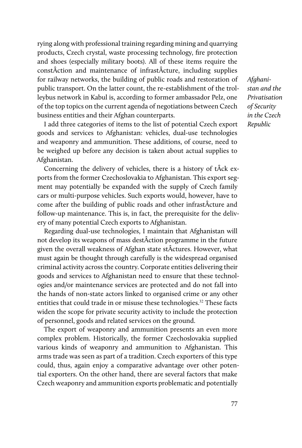rying along with professional training regarding mining and quarrying products, Czech crystal, waste processing technology, fire protection and shoes (especially military boots). All of these items require the constÂction and maintenance of infrastÂcture, including supplies for railway networks, the building of public roads and restoration of public transport. On the latter count, the re-establishment of the trolleybus network in Kabul is, according to former ambassador Pelz, one of the top topics on the current agenda of negotiations between Czech business entities and their Afghan counterparts.

I add three categories of items to the list of potential Czech export goods and services to Afghanistan: vehicles, dual-use technologies and weaponry and ammunition. These additions, of course, need to be weighed up before any decision is taken about actual supplies to Afghanistan.

Concerning the delivery of vehicles, there is a history of tÂck exports from the former Czechoslovakia to Afghanistan. This export segment may potentially be expanded with the supply of Czech family cars or multi-purpose vehicles. Such exports would, however, have to come after the building of public roads and other infrastÂcture and follow-up maintenance. This is, in fact, the prerequisite for the delivery of many potential Czech exports to Afghanistan.

Regarding dual-use technologies, I maintain that Afghanistan will not develop its weapons of mass destÂction programme in the future given the overall weakness of Afghan state stÂctures. However, what must again be thought through carefully is the widespread organised criminal activity across the country. Corporate entities delivering their goods and services to Afghanistan need to ensure that these technologies and/or maintenance services are protected and do not fall into the hands of non-state actors linked to organised crime or any other entities that could trade in or misuse these technologies.<sup>32</sup> These facts widen the scope for private security activity to include the protection of personnel, goods and related services on the ground.

The export of weaponry and ammunition presents an even more complex problem. Historically, the former Czechoslovakia supplied various kinds of weaponry and ammunition to Afghanistan. This arms trade was seen as part of a tradition. Czech exporters of this type could, thus, again enjoy a comparative advantage over other potential exporters. On the other hand, there are several factors that make Czech weaponry and ammunition exports problematic and potentially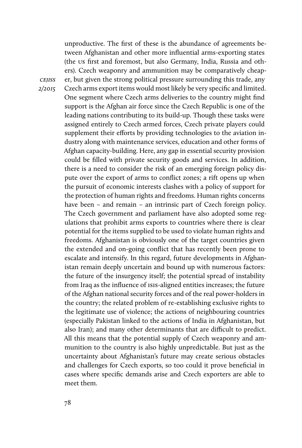unproductive. The first of these is the abundance of agreements between Afghanistan and other more influential arms-exporting states (the us first and foremost, but also Germany, India, Russia and others). Czech weaponry and ammunition may be comparatively cheaper, but given the strong political pressure surrounding this trade, any Czech arms export items would most likely be very specific and limited. One segment where Czech arms deliveries to the country might find support is the Afghan air force since the Czech Republic is one of the leading nations contributing to its build-up. Though these tasks were assigned entirely to Czech armed forces, Czech private players could supplement their efforts by providing technologies to the aviation industry along with maintenance services, education and other forms of Afghan capacity-building. Here, any gap in essential security provision could be filled with private security goods and services. In addition, there is a need to consider the risk of an emerging foreign policy dispute over the export of arms to conflict zones; a rift opens up when the pursuit of economic interests clashes with a policy of support for the protection of human rights and freedoms. Human rights concerns have been – and remain – an intrinsic part of Czech foreign policy. The Czech government and parliament have also adopted some regulations that prohibit arms exports to countries where there is clear potential for the items supplied to be used to violate human rights and freedoms. Afghanistan is obviously one of the target countries given the extended and on-going conflict that has recently been prone to escalate and intensify. In this regard, future developments in Afghanistan remain deeply uncertain and bound up with numerous factors: the future of the insurgency itself; the potential spread of instability from Iraq as the influence of isis-aligned entities increases; the future of the Afghan national security forces and of the real power-holders in the country; the related problem of re-establishing exclusive rights to the legitimate use of violence; the actions of neighbouring countries (especially Pakistan linked to the actions of India in Afghanistan, but also Iran); and many other determinants that are difficult to predict. All this means that the potential supply of Czech weaponry and ammunition to the country is also highly unpredictable. But just as the uncertainty about Afghanistan's future may create serious obstacles and challenges for Czech exports, so too could it prove beneficial in cases where specific demands arise and Czech exporters are able to meet them.

cejiss 2/2015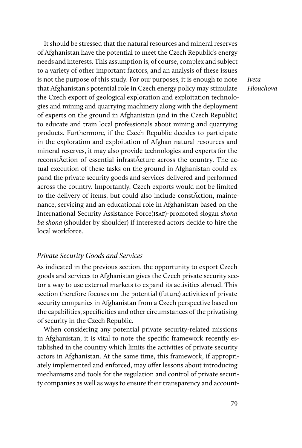It should be stressed that the natural resources and mineral reserves of Afghanistan have the potential to meet the Czech Republic's energy needs and interests. This assumption is, of course, complex and subject to a variety of other important factors, and an analysis of these issues is not the purpose of this study. For our purposes, it is enough to note that Afghanistan's potential role in Czech energy policy may stimulate the Czech export of geological exploration and exploitation technologies and mining and quarrying machinery along with the deployment of experts on the ground in Afghanistan (and in the Czech Republic) to educate and train local professionals about mining and quarrying products. Furthermore, if the Czech Republic decides to participate in the exploration and exploitation of Afghan natural resources and mineral reserves, it may also provide technologies and experts for the reconstÂction of essential infrastÂcture across the country. The actual execution of these tasks on the ground in Afghanistan could expand the private security goods and services delivered and performed across the country. Importantly, Czech exports would not be limited to the delivery of items, but could also include constÂction, maintenance, servicing and an educational role in Afghanistan based on the International Security Assistance Force(ISAF)-promoted slogan shona ba shona (shoulder by shoulder) if interested actors decide to hire the local workforce.

## Private Security Goods and Services

As indicated in the previous section, the opportunity to export Czech goods and services to Afghanistan gives the Czech private security sector a way to use external markets to expand its activities abroad. This section therefore focuses on the potential (future) activities of private security companies in Afghanistan from a Czech perspective based on the capabilities, specificities and other circumstances of the privatising of security in the Czech Republic.

When considering any potential private security-related missions in Afghanistan, it is vital to note the specific framework recently established in the country which limits the activities of private security actors in Afghanistan. At the same time, this framework, if appropriately implemented and enforced, may offer lessons about introducing mechanisms and tools for the regulation and control of private security companies as well as ways to ensure their transparency and accountIveta Hlouchova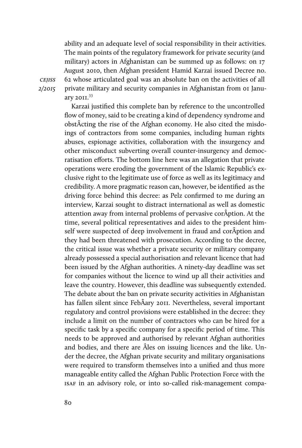ability and an adequate level of social responsibility in their activities. The main points of the regulatory framework for private security (and military) actors in Afghanistan can be summed up as follows: on 17 August 2010, then Afghan president Hamid Karzai issued Decree no. 62 whose articulated goal was an absolute ban on the activities of all private military and security companies in Afghanistan from 01 January 2011.<sup>33</sup>

**CEJISS** 2/2015

> Karzai justified this complete ban by reference to the uncontrolled flow of money, said to be creating a kind of dependency syndrome and obstÂcting the rise of the Afghan economy. He also cited the misdoings of contractors from some companies, including human rights abuses, espionage activities, collaboration with the insurgency and other misconduct subverting overall counter-insurgency and democratisation efforts. The bottom line here was an allegation that private operations were eroding the government of the Islamic Republic's exclusive right to the legitimate use of force as well as its legitimacy and credibility. A more pragmatic reason can, however, be identified as the driving force behind this decree: as Pelz confirmed to me during an interview, Karzai sought to distract international as well as domestic attention away from internal problems of pervasive corÂption. At the time, several political representatives and aides to the president himself were suspected of deep involvement in fraud and corÂption and they had been threatened with prosecution. According to the decree, the critical issue was whether a private security or military company already possessed a special authorisation and relevant licence that had been issued by the Afghan authorities. A ninety-day deadline was set for companies without the licence to wind up all their activities and leave the country. However, this deadline was subsequently extended. The debate about the ban on private security activities in Afghanistan has fallen silent since FebÂary 2011. Nevertheless, several important regulatory and control provisions were established in the decree: they include a limit on the number of contractors who can be hired for a specific task by a specific company for a specific period of time. This needs to be approved and authorised by relevant Afghan authorities and bodies, and there are Âles on issuing licences and the like. Under the decree, the Afghan private security and military organisations were required to transform themselves into a unified and thus more manageable entity called the Afghan Public Protection Force with the isaf in an advisory role, or into so-called risk-management compa-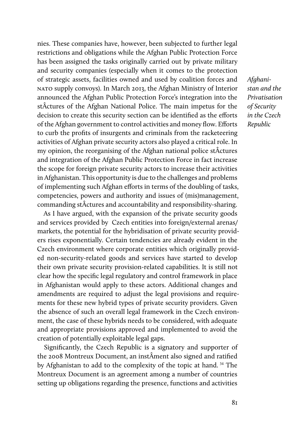nies. These companies have, however, been subjected to further legal restrictions and obligations while the Afghan Public Protection Force has been assigned the tasks originally carried out by private military and security companies (especially when it comes to the protection of strategic assets, facilities owned and used by coalition forces and nato supply convoys). In March 2013, the Afghan Ministry of Interior announced the Afghan Public Protection Force's integration into the stÂctures of the Afghan National Police. The main impetus for the decision to create this security section can be identified as the efforts of the Afghan government to control activities and money flow. Efforts to curb the profits of insurgents and criminals from the racketeering activities of Afghan private security actors also played a critical role. In my opinion, the reorganising of the Afghan national police stÂctures and integration of the Afghan Public Protection Force in fact increase the scope for foreign private security actors to increase their activities in Afghanistan. This opportunity is due to the challenges and problems of implementing such Afghan efforts in terms of the doubling of tasks, competencies, powers and authority and issues of (mis)management, commanding stÂctures and accountability and responsibility-sharing.

As I have argued, with the expansion of the private security goods and services provided by Czech entities into foreign/external arenas/ markets, the potential for the hybridisation of private security providers rises exponentially. Certain tendencies are already evident in the Czech environment where corporate entities which originally provided non-security-related goods and services have started to develop their own private security provision-related capabilities. It is still not clear how the specific legal regulatory and control framework in place in Afghanistan would apply to these actors. Additional changes and amendments are required to adjust the legal provisions and requirements for these new hybrid types of private security providers. Given the absence of such an overall legal framework in the Czech environment, the case of these hybrids needs to be considered, with adequate and appropriate provisions approved and implemented to avoid the creation of potentially exploitable legal gaps.

Significantly, the Czech Republic is a signatory and supporter of the 2008 Montreux Document, an instÂment also signed and ratified by Afghanistan to add to the complexity of the topic at hand.<sup>34</sup> The Montreux Document is an agreement among a number of countries setting up obligations regarding the presence, functions and activities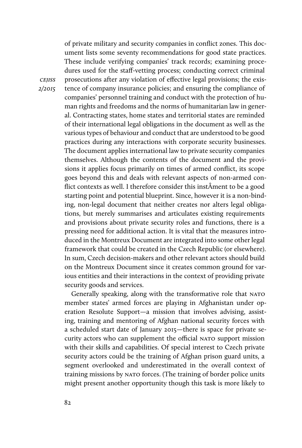of private military and security companies in conflict zones. This document lists some seventy recommendations for good state practices. These include verifying companies' track records; examining procedures used for the staff-vetting process; conducting correct criminal prosecutions after any violation of effective legal provisions; the existence of company insurance policies; and ensuring the compliance of companies' personnel training and conduct with the protection of human rights and freedoms and the norms of humanitarian law in general. Contracting states, home states and territorial states are reminded of their international legal obligations in the document as well as the various types of behaviour and conduct that are understood to be good practices during any interactions with corporate security businesses. The document applies international law to private security companies themselves. Although the contents of the document and the provisions it applies focus primarily on times of armed conflict, its scope goes beyond this and deals with relevant aspects of non-armed conflict contexts as well. I therefore consider this instÂment to be a good starting point and potential blueprint. Since, however it is a non-binding, non-legal document that neither creates nor alters legal obligations, but merely summarises and articulates existing requirements and provisions about private security roles and functions, there is a pressing need for additional action. It is vital that the measures introduced in the Montreux Document are integrated into some other legal framework that could be created in the Czech Republic (or elsewhere). In sum, Czech decision-makers and other relevant actors should build on the Montreux Document since it creates common ground for various entities and their interactions in the context of providing private security goods and services.

Generally speaking, along with the transformative role that NATO member states' armed forces are playing in Afghanistan under operation Resolute Support—a mission that involves advising, assisting, training and mentoring of Afghan national security forces with a scheduled start date of January 2015—there is space for private security actors who can supplement the official NATO support mission with their skills and capabilities. Of special interest to Czech private security actors could be the training of Afghan prison guard units, a segment overlooked and underestimated in the overall context of training missions by nato forces. (The training of border police units might present another opportunity though this task is more likely to

**CEJISS** 2/2015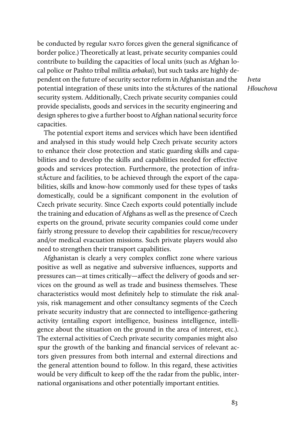be conducted by regular NATO forces given the general significance of border police.) Theoretically at least, private security companies could contribute to building the capacities of local units (such as Afghan local police or Pashto tribal militia arbakai), but such tasks are highly dependent on the future of security sector reform in Afghanistan and the potential integration of these units into the stÂctures of the national security system. Additionally, Czech private security companies could provide specialists, goods and services in the security engineering and design spheres to give a further boost to Afghan national security force capacities.

Iveta Hlouchova

The potential export items and services which have been identified and analysed in this study would help Czech private security actors to enhance their close protection and static guarding skills and capabilities and to develop the skills and capabilities needed for effective goods and services protection. Furthermore, the protection of infrastÂcture and facilities, to be achieved through the export of the capabilities, skills and know-how commonly used for these types of tasks domestically, could be a significant component in the evolution of Czech private security. Since Czech exports could potentially include the training and education of Afghans as well as the presence of Czech experts on the ground, private security companies could come under fairly strong pressure to develop their capabilities for rescue/recovery and/or medical evacuation missions. Such private players would also need to strengthen their transport capabilities.

Afghanistan is clearly a very complex conflict zone where various positive as well as negative and subversive influences, supports and pressures can—at times critically—affect the delivery of goods and services on the ground as well as trade and business themselves. These characteristics would most definitely help to stimulate the risk analysis, risk management and other consultancy segments of the Czech private security industry that are connected to intelligence-gathering activity (entailing export intelligence, business intelligence, intelligence about the situation on the ground in the area of interest, etc.). The external activities of Czech private security companies might also spur the growth of the banking and financial services of relevant actors given pressures from both internal and external directions and the general attention bound to follow. In this regard, these activities would be very difficult to keep off the the radar from the public, international organisations and other potentially important entities.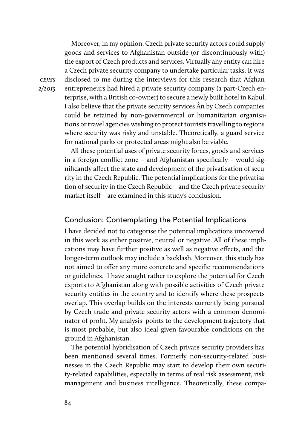Moreover, in my opinion, Czech private security actors could supply goods and services to Afghanistan outside (or discontinuously with) the export of Czech products and services. Virtually any entity can hire a Czech private security company to undertake particular tasks. It was disclosed to me during the interviews for this research that Afghan entrepreneurs had hired a private security company (a part-Czech enterprise, with a British co-owner) to secure a newly built hotel in Kabul. I also believe that the private security services Ân by Czech companies could be retained by non-governmental or humanitarian organisations or travel agencies wishing to protect tourists travelling to regions where security was risky and unstable. Theoretically, a guard service for national parks or protected areas might also be viable.

All these potential uses of private security forces, goods and services in a foreign conflict zone – and Afghanistan specifically – would significantly affect the state and development of the privatisation of security in the Czech Republic. The potential implications for the privatisation of security in the Czech Republic – and the Czech private security market itself – are examined in this study's conclusion.

### Conclusion: Contemplating the Potential Implications

I have decided not to categorise the potential implications uncovered in this work as either positive, neutral or negative. All of these implications may have further positive as well as negative effects, and the longer-term outlook may include a backlash. Moreover, this study has not aimed to offer any more concrete and specific recommendations or guidelines. I have sought rather to explore the potential for Czech exports to Afghanistan along with possible activities of Czech private security entities in the country and to identify where these prospects overlap. This overlap builds on the interests currently being pursued by Czech trade and private security actors with a common denominator of profit. My analysis points to the development trajectory that is most probable, but also ideal given favourable conditions on the ground in Afghanistan.

The potential hybridisation of Czech private security providers has been mentioned several times. Formerly non-security-related businesses in the Czech Republic may start to develop their own security-related capabilities, especially in terms of real risk assessment, risk management and business intelligence. Theoretically, these compa-

cejiss 2/2015

84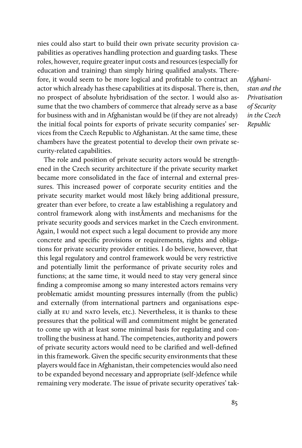nies could also start to build their own private security provision capabilities as operatives handling protection and guarding tasks. These roles, however, require greater input costs and resources (especially for education and training) than simply hiring qualified analysts. Therefore, it would seem to be more logical and profitable to contract an actor which already has these capabilities at its disposal. There is, then, no prospect of absolute hybridisation of the sector. I would also assume that the two chambers of commerce that already serve as a base for business with and in Afghanistan would be (if they are not already) the initial focal points for exports of private security companies' services from the Czech Republic to Afghanistan. At the same time, these chambers have the greatest potential to develop their own private security-related capabilities.

The role and position of private security actors would be strengthened in the Czech security architecture if the private security market became more consolidated in the face of internal and external pressures. This increased power of corporate security entities and the private security market would most likely bring additional pressure, greater than ever before, to create a law establishing a regulatory and control framework along with instÂments and mechanisms for the private security goods and services market in the Czech environment. Again, I would not expect such a legal document to provide any more concrete and specific provisions or requirements, rights and obligations for private security provider entities. I do believe, however, that this legal regulatory and control framework would be very restrictive and potentially limit the performance of private security roles and functions; at the same time, it would need to stay very general since finding a compromise among so many interested actors remains very problematic amidst mounting pressures internally (from the public) and externally (from international partners and organisations especially at eu and nato levels, etc.). Nevertheless, it is thanks to these pressures that the political will and commitment might be generated to come up with at least some minimal basis for regulating and controlling the business at hand. The competencies, authority and powers of private security actors would need to be clarified and well-defined in this framework. Given the specific security environments that these players would face in Afghanistan, their competencies would also need to be expanded beyond necessary and appropriate (self-)defence while remaining very moderate. The issue of private security operatives' tak-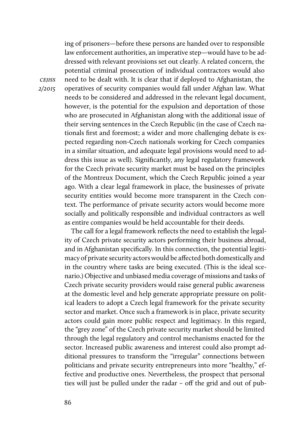ing of prisoners—before these persons are handed over to responsible law enforcement authorities, an imperative step—would have to be addressed with relevant provisions set out clearly. A related concern, the potential criminal prosecution of individual contractors would also need to be dealt with. It is clear that if deployed to Afghanistan, the operatives of security companies would fall under Afghan law. What needs to be considered and addressed in the relevant legal document, however, is the potential for the expulsion and deportation of those who are prosecuted in Afghanistan along with the additional issue of their serving sentences in the Czech Republic (in the case of Czech nationals first and foremost; a wider and more challenging debate is expected regarding non-Czech nationals working for Czech companies in a similar situation, and adequate legal provisions would need to address this issue as well). Significantly, any legal regulatory framework for the Czech private security market must be based on the principles of the Montreux Document, which the Czech Republic joined a year ago. With a clear legal framework in place, the businesses of private security entities would become more transparent in the Czech context. The performance of private security actors would become more socially and politically responsible and individual contractors as well as entire companies would be held accountable for their deeds.

The call for a legal framework reflects the need to establish the legality of Czech private security actors performing their business abroad, and in Afghanistan specifically. In this connection, the potential legitimacy of private security actors would be affected both domestically and in the country where tasks are being executed. (This is the ideal scenario.) Objective and unbiased media coverage of missions and tasks of Czech private security providers would raise general public awareness at the domestic level and help generate appropriate pressure on political leaders to adopt a Czech legal framework for the private security sector and market. Once such a framework is in place, private security actors could gain more public respect and legitimacy. In this regard, the "grey zone" of the Czech private security market should be limited through the legal regulatory and control mechanisms enacted for the sector. Increased public awareness and interest could also prompt additional pressures to transform the "irregular" connections between politicians and private security entrepreneurs into more "healthy," effective and productive ones. Nevertheless, the prospect that personal ties will just be pulled under the radar – off the grid and out of pub-

**CEJISS** 2/2015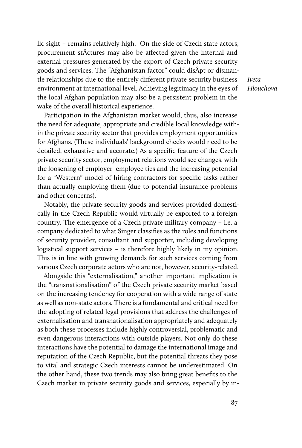lic sight – remains relatively high. On the side of Czech state actors, procurement stÂctures may also be affected given the internal and external pressures generated by the export of Czech private security goods and services. The "Afghanistan factor" could disÂpt or dismantle relationships due to the entirely different private security business environment at international level. Achieving legitimacy in the eyes of the local Afghan population may also be a persistent problem in the wake of the overall historical experience.

Iveta Hlouchova

Participation in the Afghanistan market would, thus, also increase the need for adequate, appropriate and credible local knowledge within the private security sector that provides employment opportunities for Afghans. (These individuals' background checks would need to be detailed, exhaustive and accurate.) As a specific feature of the Czech private security sector, employment relations would see changes, with the loosening of employer–employee ties and the increasing potential for a "Western" model of hiring contractors for specific tasks rather than actually employing them (due to potential insurance problems and other concerns).

Notably, the private security goods and services provided domestically in the Czech Republic would virtually be exported to a foreign country. The emergence of a Czech private military company – i.e. a company dedicated to what Singer classifies as the roles and functions of security provider, consultant and supporter, including developing logistical support services – is therefore highly likely in my opinion. This is in line with growing demands for such services coming from various Czech corporate actors who are not, however, security-related.

Alongside this "externalisation," another important implication is the "transnationalisation" of the Czech private security market based on the increasing tendency for cooperation with a wide range of state as well as non-state actors. There is a fundamental and critical need for the adopting of related legal provisions that address the challenges of externalisation and transnationalisation appropriately and adequately as both these processes include highly controversial, problematic and even dangerous interactions with outside players. Not only do these interactions have the potential to damage the international image and reputation of the Czech Republic, but the potential threats they pose to vital and strategic Czech interests cannot be underestimated. On the other hand, these two trends may also bring great benefits to the Czech market in private security goods and services, especially by in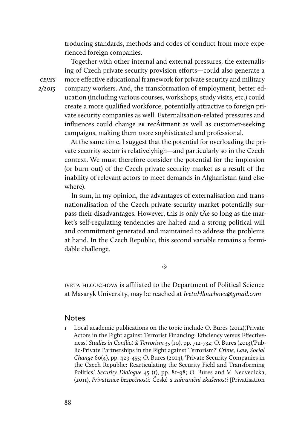troducing standards, methods and codes of conduct from more experienced foreign companies.

Together with other internal and external pressures, the externalising of Czech private security provision efforts—could also generate a more effective educational framework for private security and military company workers. And, the transformation of employment, better education (including various courses, workshops, study visits, etc.) could create a more qualified workforce, potentially attractive to foreign private security companies as well. Externalisation-related pressures and influences could change pr recÂitment as well as customer-seeking campaigns, making them more sophisticated and professional.

At the same time, I suggest that the potential for overloading the private security sector is relativelyhigh—and particularly so in the Czech context. We must therefore consider the potential for the implosion (or burn-out) of the Czech private security market as a result of the inability of relevant actors to meet demands in Afghanistan (and elsewhere).

In sum, in my opinion, the advantages of externalisation and transnationalisation of the Czech private security market potentially surpass their disadvantages. However, this is only tÂe so long as the market's self-regulating tendencies are halted and a strong political will and commitment generated and maintained to address the problems at hand. In the Czech Republic, this second variable remains a formidable challenge.

 $\tilde{\sim}$ 

IVETA HLOUCHOVA is affiliated to the Department of Political Science at Masaryk University, may be reached at IvetaHlouchova@gmail.com

#### Notes

1 Local academic publications on the topic include O. Bures (2012),'Private Actors in the Fight against Terrorist Financing: Efficiency versus Effectiveness,' Studies in Conflict & Terrorism 35 (10), pp. 712-732; O. Bures (2013),'Public-Private Partnerships in the Fight against Terrorism?' Crime, Law, Social Change 60(4), pp. 429-455; O. Bures (2014), 'Private Security Companies in the Czech Republic: Rearticulating the Security Field and Transforming Politics,' Security Dialogue 45 (1), pp. 81-98; O. Bures and V. Nedvedicka, (2011), Privatizace bezpečnosti: České a zahraniční zkušenosti [Privatisation

cejiss 2/2015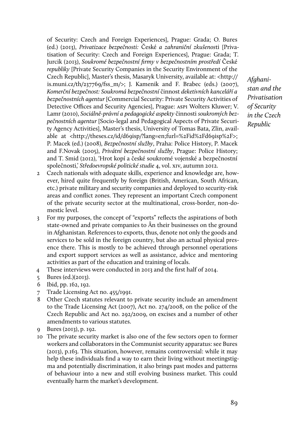of Security: Czech and Foreign Experiences], Prague: Grada; O. Bures (ed.) (2013), Privatizace bezpečnosti: České a zahraniční zkušenosti [Privatisation of Security: Czech and Foreign Experiences], Prague: Grada; T. Jurcik (2013), Soukromé bezpečnostní firmy v bezpečnostním prostředí České republiky [Private Security Companies in the Security Environment of the Czech Republic], Master's thesis, Masaryk University, available at: <http:// is.muni.cz/th/237769/fss  $m$ />: I. Kamenik and F. Brabec (eds.) (2007), Komerční bezpečnost: Soukromá bezpečnostní činnost deketivních kanceláří a bezpečnostních agentur [Commercial Security: Private Security Activities of Detective Offices and Security Agencies], Prague: ASPI Wolters Kluwer; V. Lamr (2010), Sociálně-právní a pedagogické aspekty činnosti soukromých bezpečnostních agentur [Socio-legal and Pedagogical Aspects of Private Security Agency Activities], Master's thesis, University of Tomas Bata, Zlin, available at <http://theses.cz/id/d69isp/?lang=en;furl=%2Fid%2Fd69isp%2F>; P. Macek (ed.) (2008), Bezpečnostní služby, Praha: Police History, P. Macek and F.Novak (2005), Privátní bezpečnostní služby, Prague: Police History; and T. Smid (2012), 'Hrot kopí a české soukromé vojenské a bezpečnostní společnosti,' Středoevropské politické studie 4, vol. xiv, autumn 2012.

- 2 Czech nationals with adequate skills, experience and knowledge are, however, hired quite frequently by foreign (British, American, South African, etc.) private military and security companies and deployed to security-risk areas and conflict zones. They represent an important Czech component of the private security sector at the multinational, cross-border, non-domestic level.
- 3 For my purposes, the concept of "exports" reflects the aspirations of both state-owned and private companies to Ân their businesses on the ground in Afghanistan. References to exports, thus, denote not only the goods and services to be sold in the foreign country, but also an actual physical presence there. This is mostly to be achieved through personnel operations and export support services as well as assistance, advice and mentoring activities as part of the education and training of locals.
- 4 These interviews were conducted in 2013 and the first half of 2014.
- 5 Bures (ed.)(2013).
- 6 Ibid, pp. 162, 192.
- 7 Trade Licensing Act no. 455/1991.
- 8 Other Czech statutes relevant to private security include an amendment to the Trade Licensing Act (2007), Act no. 274/2008, on the police of the Czech Republic and Act no. 292/2009, on excises and a number of other amendments to various statutes.
- 9 Bures (2013), p. 192.
- 10 The private security market is also one of the few sectors open to former workers and collaborators in the Communist security apparatus: see Bures (2013), p.163. This situation, however, remains controversial: while it may help these individuals find a way to earn their living without meetingstigma and potentially discrimination, it also brings past modes and patterns of behaviour into a new and still evolving business market. This could eventually harm the market's development.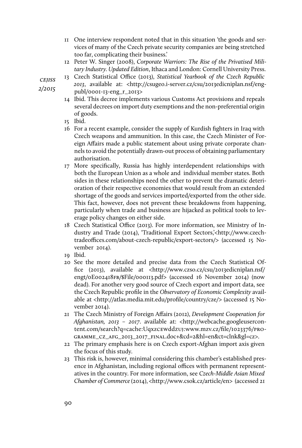- 11 One interview respondent noted that in this situation 'the goods and services of many of the Czech private security companies are being stretched too far, complicating their business.'
- 12 Peter W. Singer (2008), Corporate Warriors: The Rise of the Privatised Military Industry. Updated Edition, Ithaca and London: Cornell University Press.
- 13 Czech Statistical Office (2013), Statistical Yearbook of the Czech Republic 2013, available at: <http://csugeo.i-server.cz/csu/2013edicniplan.nsf/eng-

publ/0001-13-eng\_r\_2013>

- 14 Ibid. This decree implements various Customs Act provisions and repeals several decrees on import duty exemptions and the non-preferential origin of goods.
- 15 Ibid.
- 16 For a recent example, consider the supply of Kurdish fighters in Iraq with Czech weapons and ammunition. In this case, the Czech Minister of Foreign Affairs made a public statement about using private corporate channels to avoid the potentially drawn-out process of obtaining parliamentary authorisation.
- 17 More specifically, Russia has highly interdependent relationships with both the European Union as a whole and individual member states. Both sides in these relationships need the other to prevent the dramatic deterioration of their respective economies that would result from an extended shortage of the goods and services imported/exported from the other side. This fact, however, does not prevent these breakdowns from happening, particularly when trade and business are hijacked as political tools to leverage policy changes on either side.
- 18 Czech Statistical Office (2013). For more information, see Ministry of Industry and Trade (2014), 'Traditional Export Sectors,'<http://www.czechtradeoffices.com/about-czech-republic/export-sectors/> (accessed 15 November 2014).
- 19 Ibid.
- 20 See the more detailed and precise data from the Czech Statistical Office (2013), available at <http://www.czso.cz/csu/2013edicniplan.nsf/ engt/0E002418fb/\$File/000113.pdf> (accessed 16 November 2014) (now dead). For another very good source of Czech export and import data, see the Czech Republic profile in the Observatory of Economic Complexity available at <http://atlas.media.mit.edu/profile/country/cze/> (accessed 15 November 2014).
- 21 The Czech Ministry of Foreign Affairs (2012), Development Cooperation for Afghanistan, 2013 – 2017. available at: <http://webcache.googleusercontent.com/search?q=cache:Uqxzcewddzuj:www.mzv.cz/file/1023376/programme\_cz\_afg\_2013\_2017\_final.doc+&cd=2&hl=en&ct=clnk&gl=cz>.
- 22 The primary emphasis here is on Czech export-Afghan import axis given the focus of this study.
- 23 This risk is, however, minimal considering this chamber's established presence in Afghanistan, including regional offices with permanent representatives in the country. For more information, see Czech-Middle Asian Mixed Chamber of Commerce (2014), <http://www.csok.cz/article/en> (accessed 21

**CEJISS** 2/2015